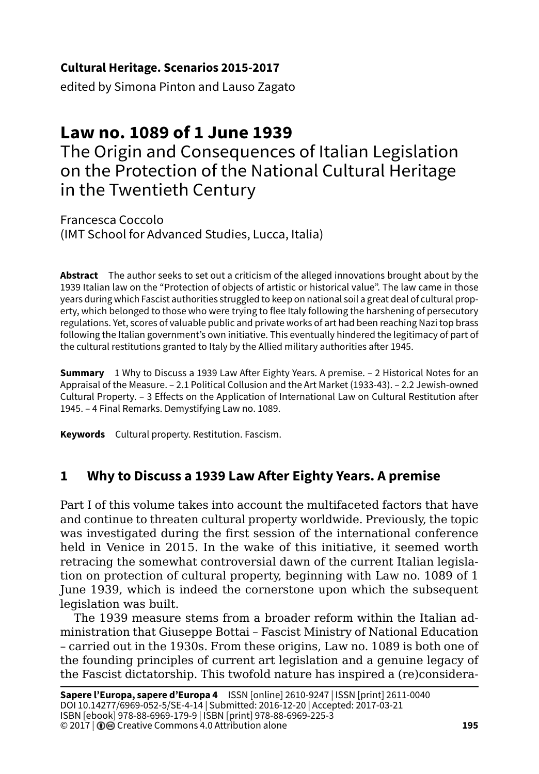### **Cultural Heritage. Scenarios 2015-2017**

edited by Simona Pinton and Lauso Zagato

# **Law no. 1089 of 1 June 1939**

The Origin and Consequences of Italian Legislation on the Protection of the National Cultural Heritage in the Twentieth Century

Francesca Coccolo (IMT School for Advanced Studies, Lucca, Italia)

**Abstract** The author seeks to set out a criticism of the alleged innovations brought about by the 1939 Italian law on the "Protection of objects of artistic or historical value". The law came in those years during which Fascist authorities struggled to keep on national soil a great deal of cultural property, which belonged to those who were trying to flee Italy following the harshening of persecutory regulations. Yet, scores of valuable public and private works of art had been reaching Nazi top brass following the Italian government's own initiative. This eventually hindered the legitimacy of part of the cultural restitutions granted to Italy by the Allied military authorities after 1945.

**Summary** 1 Why to Discuss a 1939 Law After Eighty Years. A premise. – 2 Historical Notes for an Appraisal of the Measure. – 2.1 Political Collusion and the Art Market (1933-43). – 2.2 Jewish-owned Cultural Property. – 3 Effects on the Application of International Law on Cultural Restitution after 1945. – 4 Final Remarks. Demystifying Law no. 1089.

**Keywords** Cultural property. Restitution. Fascism.

## **1 Why to Discuss a 1939 Law After Eighty Years. A premise**

Part I of this volume takes into account the multifaceted factors that have and continue to threaten cultural property worldwide. Previously, the topic was investigated during the first session of the international conference held in Venice in 2015. In the wake of this initiative, it seemed worth retracing the somewhat controversial dawn of the current Italian legislation on protection of cultural property, beginning with Law no. 1089 of 1 June 1939, which is indeed the cornerstone upon which the subsequent legislation was built.

The 1939 measure stems from a broader reform within the Italian administration that Giuseppe Bottai – Fascist Ministry of National Education – carried out in the 1930s. From these origins, Law no. 1089 is both one of the founding principles of current art legislation and a genuine legacy of the Fascist dictatorship. This twofold nature has inspired a (re)considera-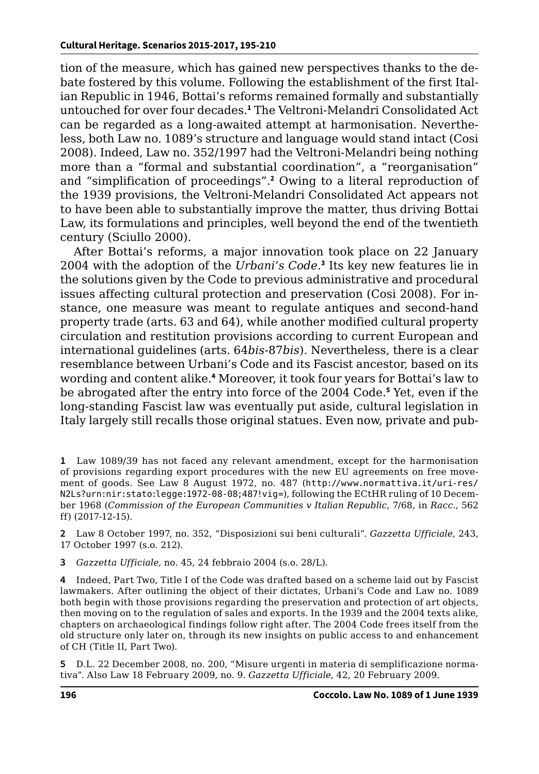tion of the measure, which has gained new perspectives thanks to the debate fostered by this volume. Following the establishment of the first Italian Republic in 1946, Bottai's reforms remained formally and substantially untouched for over four decades.**<sup>1</sup>** The Veltroni-Melandri Consolidated Act can be regarded as a long-awaited attempt at harmonisation. Nevertheless, both Law no. 1089's structure and language would stand intact (Cosi 2008). Indeed, Law no. 352/1997 had the Veltroni-Melandri being nothing more than a "formal and substantial coordination", a "reorganisation" and "simplification of proceedings".**<sup>2</sup>** Owing to a literal reproduction of the 1939 provisions, the Veltroni-Melandri Consolidated Act appears not to have been able to substantially improve the matter, thus driving Bottai Law, its formulations and principles, well beyond the end of the twentieth century (Sciullo 2000).

After Bottai's reforms, a major innovation took place on 22 January 2004 with the adoption of the *Urbani's Code*. **3** Its key new features lie in the solutions given by the Code to previous administrative and procedural issues affecting cultural protection and preservation (Cosi 2008). For instance, one measure was meant to regulate antiques and second-hand property trade (arts. 63 and 64), while another modified cultural property circulation and restitution provisions according to current European and international guidelines (arts. 64*bis*-87*bis*). Nevertheless, there is a clear resemblance between Urbani's Code and its Fascist ancestor, based on its wording and content alike.**<sup>4</sup>** Moreover, it took four years for Bottai's law to be abrogated after the entry into force of the 2004 Code.**<sup>5</sup>** Yet, even if the long-standing Fascist law was eventually put aside, cultural legislation in Italy largely still recalls those original statues. Even now, private and pub-

**1** Law 1089/39 has not faced any relevant amendment, except for the harmonisation of provisions regarding export procedures with the new EU agreements on free movement of goods. See Law 8 August 1972, no. 487 ([http://www.normattiva.it/uri-res/](http://www.normattiva.it/uri-res/N2Ls?urn:nir:stato:legge:1972-08-08;487!vig=) [N2Ls?urn:nir:stato:legge:1972-08-08;487!vig=](http://www.normattiva.it/uri-res/N2Ls?urn:nir:stato:legge:1972-08-08;487!vig=)), following the ECtHR ruling of 10 December 1968 (*Commission of the European Communities v Italian Republic*, 7/68, in *Racc*., 562 ff) (2017-12-15).

**2** Law 8 October 1997, no. 352, "Disposizioni sui beni culturali". *Gazzetta Ufficiale*, 243, 17 October 1997 (s.o. 212).

**3** *Gazzetta Ufficiale*, no. 45, 24 febbraio 2004 (s.o. 28/L).

**4** Indeed, Part Two, Title I of the Code was drafted based on a scheme laid out by Fascist lawmakers. After outlining the object of their dictates, Urbani's Code and Law no. 1089 both begin with those provisions regarding the preservation and protection of art objects, then moving on to the regulation of sales and exports. In the 1939 and the 2004 texts alike, chapters on archaeological findings follow right after. The 2004 Code frees itself from the old structure only later on, through its new insights on public access to and enhancement of CH (Title II, Part Two).

**5** D.L. 22 December 2008, no. 200, "Misure urgenti in materia di semplificazione normativa". Also Law 18 February 2009, no. 9. *Gazzetta Ufficiale*, 42, 20 February 2009.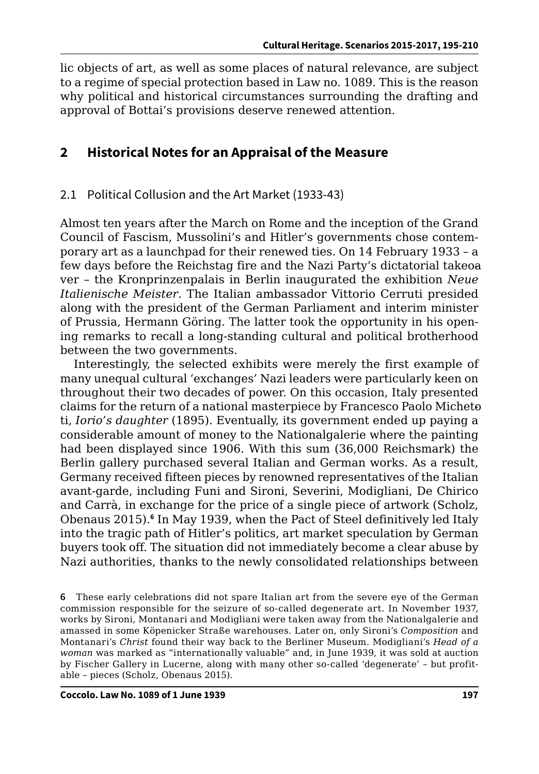lic objects of art, as well as some places of natural relevance, are subject to a regime of special protection based in Law no. 1089. This is the reason why political and historical circumstances surrounding the drafting and approval of Bottai's provisions deserve renewed attention.

## **2 Historical Notes for an Appraisal of the Measure**

#### 2.1 Political Collusion and the Art Market (1933-43)

Almost ten years after the March on Rome and the inception of the Grand Council of Fascism, Mussolini's and Hitler's governments chose contemporary art as a launchpad for their renewed ties. On 14 February 1933 – a few days before the Reichstag fire and the Nazi Party's dictatorial takeoa ver – the Kronprinzenpalais in Berlin inaugurated the exhibition *Neue Italienische Meister*. The Italian ambassador Vittorio Cerruti presided along with the president of the German Parliament and interim minister of Prussia, Hermann Göring. The latter took the opportunity in his opening remarks to recall a long-standing cultural and political brotherhood between the two governments.

Interestingly, the selected exhibits were merely the first example of many unequal cultural 'exchanges' Nazi leaders were particularly keen on throughout their two decades of power. On this occasion, Italy presented claims for the return of a national masterpiece by Francesco Paolo Micheto ti, *Iorio's daughter* (1895). Eventually, its government ended up paying a considerable amount of money to the Nationalgalerie where the painting had been displayed since 1906. With this sum (36,000 Reichsmark) the Berlin gallery purchased several Italian and German works. As a result, Germany received fifteen pieces by renowned representatives of the Italian avant-garde, including Funi and Sironi, Severini, Modigliani, De Chirico and Carrà, in exchange for the price of a single piece of artwork (Scholz, Obenaus 2015).**<sup>6</sup>** In May 1939, when the Pact of Steel definitively led Italy into the tragic path of Hitler's politics, art market speculation by German buyers took off. The situation did not immediately become a clear abuse by Nazi authorities, thanks to the newly consolidated relationships between

**6** These early celebrations did not spare Italian art from the severe eye of the German commission responsible for the seizure of so-called degenerate art. In November 1937, works by Sironi, Montanari and Modigliani were taken away from the Nationalgalerie and amassed in some Köpenicker Straße warehouses. Later on, only Sironi's *Composition* and Montanari's *Christ* found their way back to the Berliner Museum. Modigliani's *Head of a woman* was marked as "internationally valuable" and, in June 1939, it was sold at auction by Fischer Gallery in Lucerne, along with many other so-called 'degenerate' – but profitable – pieces (Scholz, Obenaus 2015).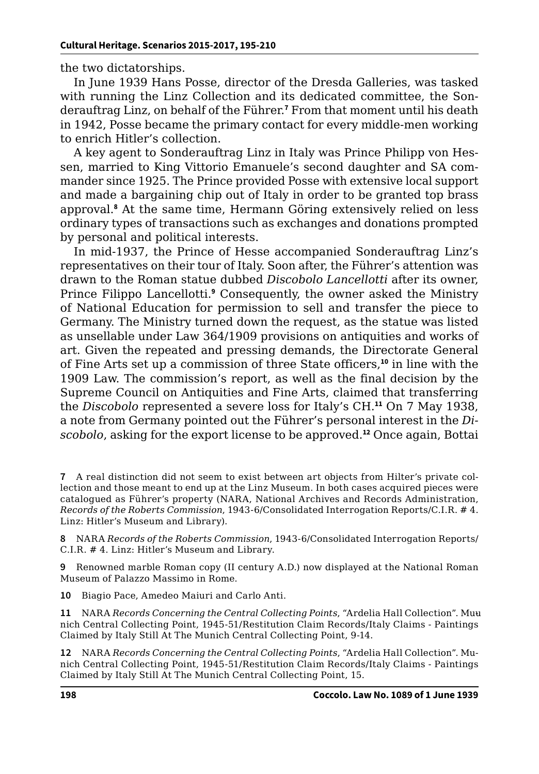the two dictatorships.

In June 1939 Hans Posse, director of the Dresda Galleries, was tasked with running the Linz Collection and its dedicated committee, the Sonderauftrag Linz, on behalf of the Führer.**<sup>7</sup>** From that moment until his death in 1942, Posse became the primary contact for every middle-men working to enrich Hitler's collection.

A key agent to Sonderauftrag Linz in Italy was Prince Philipp von Hessen, married to King Vittorio Emanuele's second daughter and SA commander since 1925. The Prince provided Posse with extensive local support and made a bargaining chip out of Italy in order to be granted top brass approval.**<sup>8</sup>** At the same time, Hermann Göring extensively relied on less ordinary types of transactions such as exchanges and donations prompted by personal and political interests.

In mid-1937, the Prince of Hesse accompanied Sonderauftrag Linz's representatives on their tour of Italy. Soon after, the Führer's attention was drawn to the Roman statue dubbed *Discobolo Lancellotti* after its owner, Prince Filippo Lancellotti.<sup>9</sup> Consequently, the owner asked the Ministry of National Education for permission to sell and transfer the piece to Germany. The Ministry turned down the request, as the statue was listed as unsellable under Law 364/1909 provisions on antiquities and works of art. Given the repeated and pressing demands, the Directorate General of Fine Arts set up a commission of three State officers,**<sup>10</sup>** in line with the 1909 Law. The commission's report, as well as the final decision by the Supreme Council on Antiquities and Fine Arts, claimed that transferring the *Discobolo* represented a severe loss for Italy's CH.**<sup>11</sup>** On 7 May 1938, a note from Germany pointed out the Führer's personal interest in the *Discobolo*, asking for the export license to be approved.**<sup>12</sup>** Once again, Bottai

**7** A real distinction did not seem to exist between art objects from Hilter's private collection and those meant to end up at the Linz Museum. In both cases acquired pieces were catalogued as Führer's property (NARA, National Archives and Records Administration, *Records of the Roberts Commission*, 1943-6/Consolidated Interrogation Reports/C.I.R. # 4. Linz: Hitler's Museum and Library).

**8** NARA *Records of the Roberts Commission*, 1943-6/Consolidated Interrogation Reports/ C.I.R. # 4. Linz: Hitler's Museum and Library.

**9** Renowned marble Roman copy (II century A.D.) now displayed at the National Roman Museum of Palazzo Massimo in Rome.

**10** Biagio Pace, Amedeo Maiuri and Carlo Anti.

**11** NARA *Records Concerning the Central Collecting Points*, "Ardelia Hall Collection". Munich Central Collecting Point, 1945-51/Restitution Claim Records/Italy Claims - Paintings Claimed by Italy Still At The Munich Central Collecting Point, 9-14.

**12** NARA *Records Concerning the Central Collecting Points*, "Ardelia Hall Collection". Munich Central Collecting Point, 1945-51/Restitution Claim Records/Italy Claims - Paintings Claimed by Italy Still At The Munich Central Collecting Point, 15.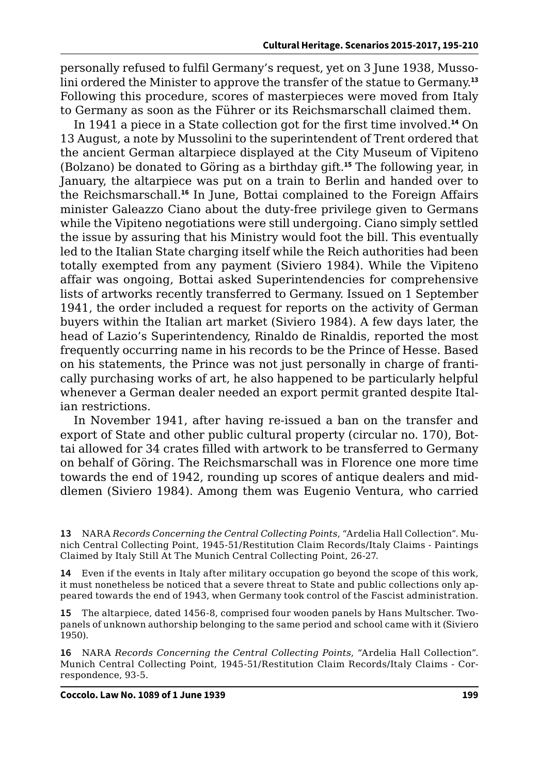personally refused to fulfil Germany's request, yet on 3 June 1938, Mussolini ordered the Minister to approve the transfer of the statue to Germany.**<sup>13</sup>** Following this procedure, scores of masterpieces were moved from Italy to Germany as soon as the Führer or its Reichsmarschall claimed them.

In 1941 a piece in a State collection got for the first time involved.**<sup>14</sup>** On 13 August, a note by Mussolini to the superintendent of Trent ordered that the ancient German altarpiece displayed at the City Museum of Vipiteno (Bolzano) be donated to Göring as a birthday gift.**<sup>15</sup>** The following year, in January, the altarpiece was put on a train to Berlin and handed over to the Reichsmarschall. **<sup>16</sup>** In June, Bottai complained to the Foreign Affairs minister Galeazzo Ciano about the duty-free privilege given to Germans while the Vipiteno negotiations were still undergoing. Ciano simply settled the issue by assuring that his Ministry would foot the bill. This eventually led to the Italian State charging itself while the Reich authorities had been totally exempted from any payment (Siviero 1984). While the Vipiteno affair was ongoing, Bottai asked Superintendencies for comprehensive lists of artworks recently transferred to Germany. Issued on 1 September 1941, the order included a request for reports on the activity of German buyers within the Italian art market (Siviero 1984). A few days later, the head of Lazio's Superintendency, Rinaldo de Rinaldis, reported the most frequently occurring name in his records to be the Prince of Hesse. Based on his statements, the Prince was not just personally in charge of frantically purchasing works of art, he also happened to be particularly helpful whenever a German dealer needed an export permit granted despite Italian restrictions.

In November 1941, after having re-issued a ban on the transfer and export of State and other public cultural property (circular no. 170), Bottai allowed for 34 crates filled with artwork to be transferred to Germany on behalf of Göring. The Reichsmarschall was in Florence one more time towards the end of 1942, rounding up scores of antique dealers and middlemen (Siviero 1984). Among them was Eugenio Ventura, who carried

**13** NARA *Records Concerning the Central Collecting Points*, "Ardelia Hall Collection". Munich Central Collecting Point, 1945-51/Restitution Claim Records/Italy Claims - Paintings Claimed by Italy Still At The Munich Central Collecting Point, 26-27.

**14** Even if the events in Italy after military occupation go beyond the scope of this work, it must nonetheless be noticed that a severe threat to State and public collections only appeared towards the end of 1943, when Germany took control of the Fascist administration.

**15** The altarpiece, dated 1456-8, comprised four wooden panels by Hans Multscher. Twopanels of unknown authorship belonging to the same period and school came with it (Siviero 1950).

**16** NARA *Records Concerning the Central Collecting Points*, "Ardelia Hall Collection". Munich Central Collecting Point, 1945-51/Restitution Claim Records/Italy Claims - Correspondence, 93-5.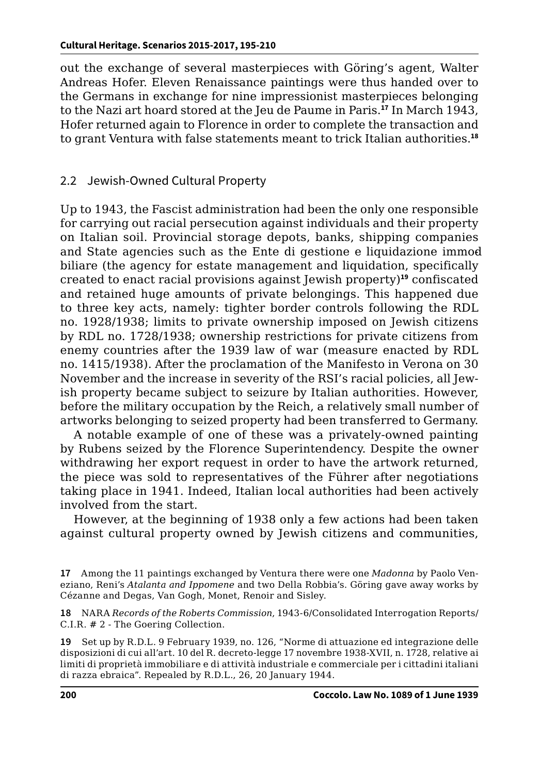out the exchange of several masterpieces with Göring's agent, Walter Andreas Hofer. Eleven Renaissance paintings were thus handed over to the Germans in exchange for nine impressionist masterpieces belonging to the Nazi art hoard stored at the Jeu de Paume in Paris.**<sup>17</sup>** In March 1943, Hofer returned again to Florence in order to complete the transaction and to grant Ventura with false statements meant to trick Italian authorities.**<sup>18</sup>**

#### 2.2 Jewish-Owned Cultural Property

Up to 1943, the Fascist administration had been the only one responsible for carrying out racial persecution against individuals and their property on Italian soil. Provincial storage depots, banks, shipping companies and State agencies such as the Ente di gestione e liquidazione immod biliare (the agency for estate management and liquidation, specifically created to enact racial provisions against Jewish property)**<sup>19</sup>** confiscated and retained huge amounts of private belongings. This happened due to three key acts, namely: tighter border controls following the RDL no. 1928/1938; limits to private ownership imposed on Jewish citizens by RDL no. 1728/1938; ownership restrictions for private citizens from enemy countries after the 1939 law of war (measure enacted by RDL no. 1415/1938). After the proclamation of the Manifesto in Verona on 30 November and the increase in severity of the RSI's racial policies, all Jewish property became subject to seizure by Italian authorities. However, before the military occupation by the Reich, a relatively small number of artworks belonging to seized property had been transferred to Germany.

A notable example of one of these was a privately-owned painting by Rubens seized by the Florence Superintendency. Despite the owner withdrawing her export request in order to have the artwork returned, the piece was sold to representatives of the Führer after negotiations taking place in 1941. Indeed, Italian local authorities had been actively involved from the start.

However, at the beginning of 1938 only a few actions had been taken against cultural property owned by Jewish citizens and communities,

**19** Set up by R.D.L. 9 February 1939, no. 126, "Norme di attuazione ed integrazione delle disposizioni di cui all'art. 10 del R. decreto-legge 17 novembre 1938-XVII, n. 1728, relative ai limiti di proprietà immobiliare e di attività industriale e commerciale per i cittadini italiani di razza ebraica". Repealed by R.D.L., 26, 20 January 1944.

**<sup>17</sup>** Among the 11 paintings exchanged by Ventura there were one *Madonna* by Paolo Veneziano, Reni's *Atalanta and Ippomene* and two Della Robbia's. Göring gave away works by Cézanne and Degas, Van Gogh, Monet, Renoir and Sisley.

**<sup>18</sup>** NARA *Records of the Roberts Commission*, 1943-6/Consolidated Interrogation Reports/ C.I.R. # 2 - The Goering Collection.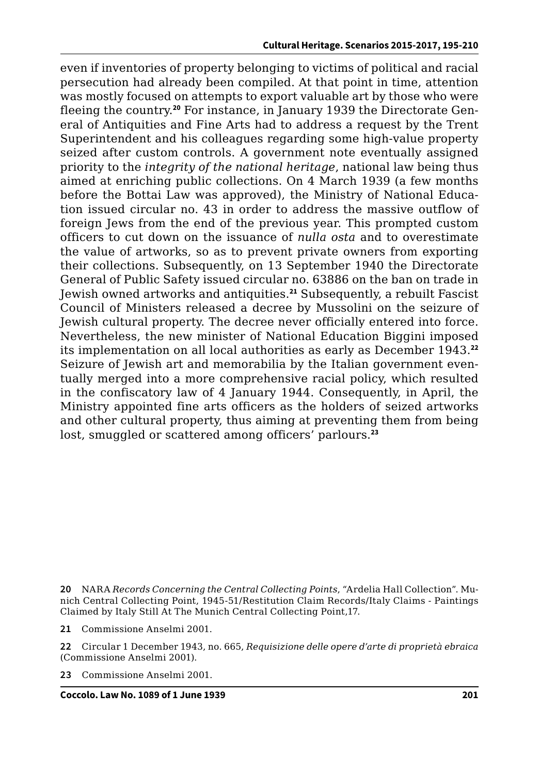even if inventories of property belonging to victims of political and racial persecution had already been compiled. At that point in time, attention was mostly focused on attempts to export valuable art by those who were fleeing the country.**20** For instance, in January 1939 the Directorate General of Antiquities and Fine Arts had to address a request by the Trent Superintendent and his colleagues regarding some high-value property seized after custom controls. A government note eventually assigned priority to the *integrity of the national heritage*, national law being thus aimed at enriching public collections. On 4 March 1939 (a few months before the Bottai Law was approved), the Ministry of National Education issued circular no. 43 in order to address the massive outflow of foreign Jews from the end of the previous year. This prompted custom officers to cut down on the issuance of *nulla osta* and to overestimate the value of artworks, so as to prevent private owners from exporting their collections. Subsequently, on 13 September 1940 the Directorate General of Public Safety issued circular no. 63886 on the ban on trade in Jewish owned artworks and antiquities.**<sup>21</sup>** Subsequently, a rebuilt Fascist Council of Ministers released a decree by Mussolini on the seizure of Jewish cultural property. The decree never officially entered into force. Nevertheless, the new minister of National Education Biggini imposed its implementation on all local authorities as early as December 1943.**<sup>22</sup>** Seizure of Jewish art and memorabilia by the Italian government eventually merged into a more comprehensive racial policy, which resulted in the confiscatory law of 4 January 1944. Consequently, in April, the Ministry appointed fine arts officers as the holders of seized artworks and other cultural property, thus aiming at preventing them from being lost, smuggled or scattered among officers' parlours.**<sup>23</sup>**

**20** NARA *Records Concerning the Central Collecting Points*, "Ardelia Hall Collection". Munich Central Collecting Point, 1945-51/Restitution Claim Records/Italy Claims - Paintings Claimed by Italy Still At The Munich Central Collecting Point,17.

**21** Commissione Anselmi 2001.

**22** Circular 1 December 1943, no. 665, *Requisizione delle opere d'arte di proprietà ebraica* (Commissione Anselmi 2001).

**23** Commissione Anselmi 2001.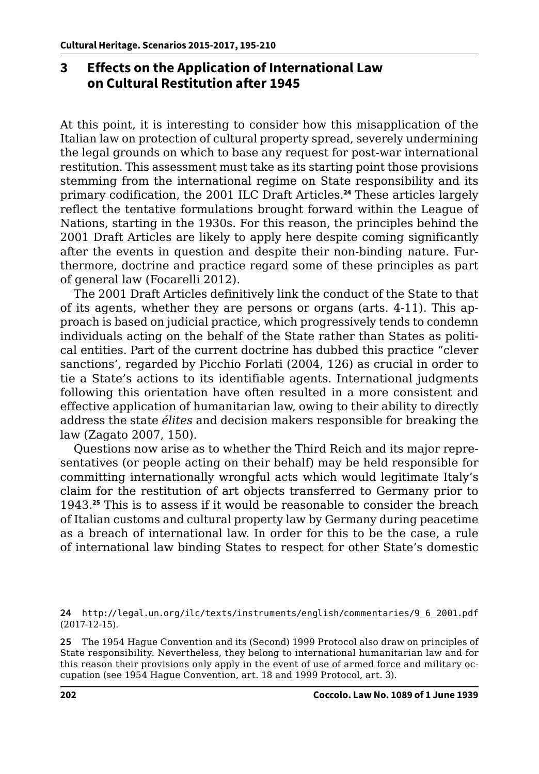## **3 Effects on the Application of International Law on Cultural Restitution after 1945**

At this point, it is interesting to consider how this misapplication of the Italian law on protection of cultural property spread, severely undermining the legal grounds on which to base any request for post-war international restitution. This assessment must take as its starting point those provisions stemming from the international regime on State responsibility and its primary codification, the 2001 ILC Draft Articles.**<sup>24</sup>** These articles largely reflect the tentative formulations brought forward within the League of Nations, starting in the 1930s. For this reason, the principles behind the 2001 Draft Articles are likely to apply here despite coming significantly after the events in question and despite their non-binding nature. Furthermore, doctrine and practice regard some of these principles as part of general law (Focarelli 2012).

The 2001 Draft Articles definitively link the conduct of the State to that of its agents, whether they are persons or organs (arts. 4-11). This approach is based on judicial practice, which progressively tends to condemn individuals acting on the behalf of the State rather than States as political entities. Part of the current doctrine has dubbed this practice "clever sanctions', regarded by Picchio Forlati (2004, 126) as crucial in order to tie a State's actions to its identifiable agents. International judgments following this orientation have often resulted in a more consistent and effective application of humanitarian law, owing to their ability to directly address the state *élites* and decision makers responsible for breaking the law (Zagato 2007, 150).

Questions now arise as to whether the Third Reich and its major representatives (or people acting on their behalf) may be held responsible for committing internationally wrongful acts which would legitimate Italy's claim for the restitution of art objects transferred to Germany prior to 1943.**<sup>25</sup>** This is to assess if it would be reasonable to consider the breach of Italian customs and cultural property law by Germany during peacetime as a breach of international law. In order for this to be the case, a rule of international law binding States to respect for other State's domestic

**<sup>24</sup>** [http://legal.un.org/ilc/texts/instruments/english/commentaries/9\\_6\\_2001.pdf](http://legal.un.org/ilc/texts/instruments/english/commentaries/9_6_2001.pdf) (2017-12-15).

**<sup>25</sup>** The 1954 Hague Convention and its (Second) 1999 Protocol also draw on principles of State responsibility. Nevertheless, they belong to international humanitarian law and for this reason their provisions only apply in the event of use of armed force and military occupation (see 1954 Hague Convention, art. 18 and 1999 Protocol, art. 3).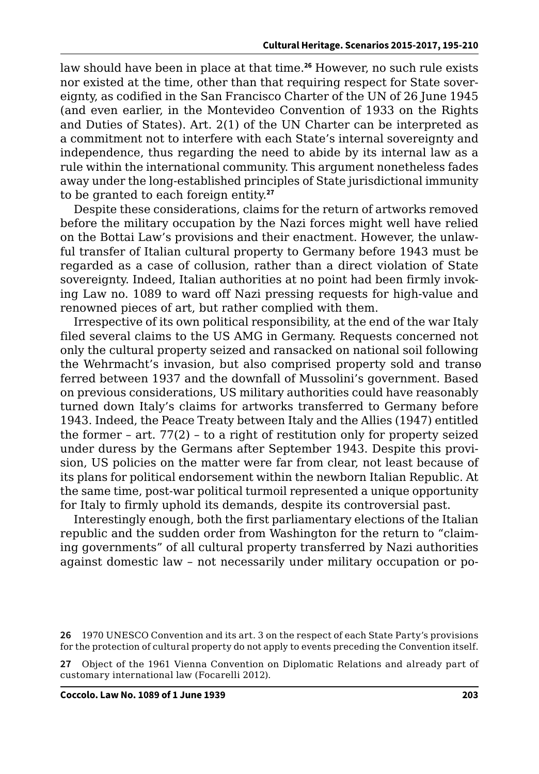law should have been in place at that time.**<sup>26</sup>** However, no such rule exists nor existed at the time, other than that requiring respect for State sovereignty, as codified in the San Francisco Charter of the UN of 26 June 1945 (and even earlier, in the Montevideo Convention of 1933 on the Rights and Duties of States). Art. 2(1) of the UN Charter can be interpreted as a commitment not to interfere with each State's internal sovereignty and independence, thus regarding the need to abide by its internal law as a rule within the international community. This argument nonetheless fades away under the long-established principles of State jurisdictional immunity to be granted to each foreign entity.**<sup>27</sup>**

Despite these considerations, claims for the return of artworks removed before the military occupation by the Nazi forces might well have relied on the Bottai Law's provisions and their enactment. However, the unlawful transfer of Italian cultural property to Germany before 1943 must be regarded as a case of collusion, rather than a direct violation of State sovereignty. Indeed, Italian authorities at no point had been firmly invoking Law no. 1089 to ward off Nazi pressing requests for high-value and renowned pieces of art, but rather complied with them.

Irrespective of its own political responsibility, at the end of the war Italy filed several claims to the US AMG in Germany. Requests concerned not only the cultural property seized and ransacked on national soil following the Wehrmacht's invasion, but also comprised property sold and transoferred between 1937 and the downfall of Mussolini's government. Based on previous considerations, US military authorities could have reasonably turned down Italy's claims for artworks transferred to Germany before 1943. Indeed, the Peace Treaty between Italy and the Allies (1947) entitled the former – art. 77(2) – to a right of restitution only for property seized under duress by the Germans after September 1943. Despite this provision, US policies on the matter were far from clear, not least because of its plans for political endorsement within the newborn Italian Republic. At the same time, post-war political turmoil represented a unique opportunity for Italy to firmly uphold its demands, despite its controversial past.

Interestingly enough, both the first parliamentary elections of the Italian republic and the sudden order from Washington for the return to "claiming governments" of all cultural property transferred by Nazi authorities against domestic law – not necessarily under military occupation or po-

**<sup>26</sup>** 1970 UNESCO Convention and its art. 3 on the respect of each State Party's provisions for the protection of cultural property do not apply to events preceding the Convention itself.

**<sup>27</sup>** Object of the 1961 Vienna Convention on Diplomatic Relations and already part of customary international law (Focarelli 2012).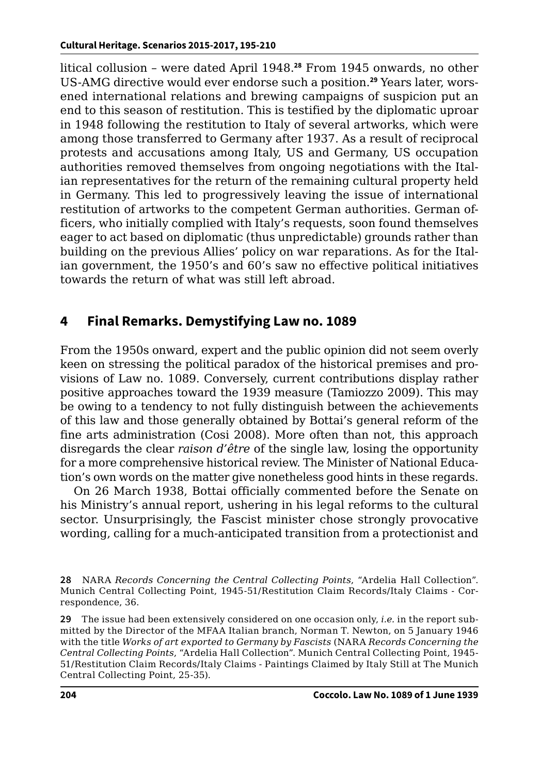litical collusion – were dated April 1948.**<sup>28</sup>** From 1945 onwards, no other US-AMG directive would ever endorse such a position.**29** Years later, worsened international relations and brewing campaigns of suspicion put an end to this season of restitution. This is testified by the diplomatic uproar in 1948 following the restitution to Italy of several artworks, which were among those transferred to Germany after 1937. As a result of reciprocal protests and accusations among Italy, US and Germany, US occupation authorities removed themselves from ongoing negotiations with the Italian representatives for the return of the remaining cultural property held in Germany. This led to progressively leaving the issue of international restitution of artworks to the competent German authorities. German officers, who initially complied with Italy's requests, soon found themselves eager to act based on diplomatic (thus unpredictable) grounds rather than building on the previous Allies' policy on war reparations. As for the Italian government, the 1950's and 60's saw no effective political initiatives towards the return of what was still left abroad.

## **4 Final Remarks. Demystifying Law no. 1089**

From the 1950s onward, expert and the public opinion did not seem overly keen on stressing the political paradox of the historical premises and provisions of Law no. 1089. Conversely, current contributions display rather positive approaches toward the 1939 measure (Tamiozzo 2009). This may be owing to a tendency to not fully distinguish between the achievements of this law and those generally obtained by Bottai's general reform of the fine arts administration (Cosi 2008). More often than not, this approach disregards the clear *raison d'être* of the single law, losing the opportunity for a more comprehensive historical review. The Minister of National Education's own words on the matter give nonetheless good hints in these regards.

On 26 March 1938, Bottai officially commented before the Senate on his Ministry's annual report, ushering in his legal reforms to the cultural sector. Unsurprisingly, the Fascist minister chose strongly provocative wording, calling for a much-anticipated transition from a protectionist and

**29** The issue had been extensively considered on one occasion only, *i.e.* in the report submitted by the Director of the MFAA Italian branch, Norman T. Newton, on 5 January 1946 with the title *Works of art exported to Germany by Fascists* (NARA *Records Concerning the Central Collecting Points*, "Ardelia Hall Collection". Munich Central Collecting Point, 1945- 51/Restitution Claim Records/Italy Claims - Paintings Claimed by Italy Still at The Munich Central Collecting Point, 25-35).

**<sup>28</sup>** NARA *Records Concerning the Central Collecting Points*, "Ardelia Hall Collection". Munich Central Collecting Point, 1945-51/Restitution Claim Records/Italy Claims - Correspondence, 36.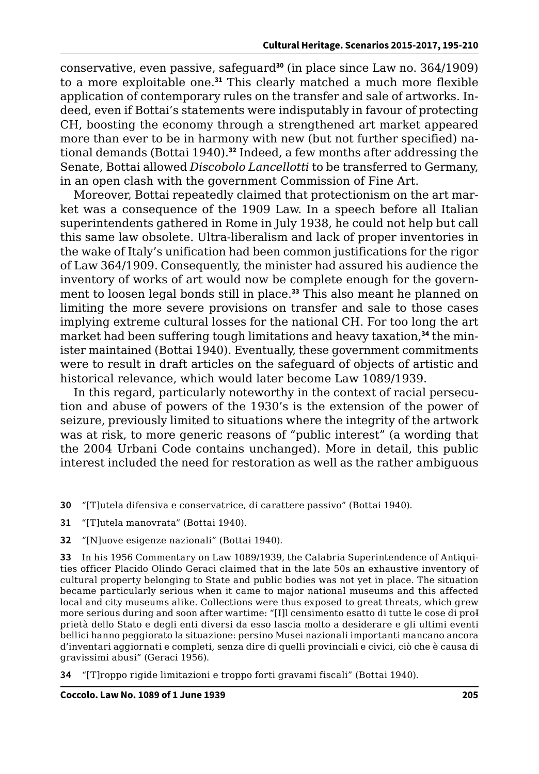conservative, even passive, safeguard**<sup>30</sup>** (in place since Law no. 364/1909) to a more exploitable one.**<sup>31</sup>** This clearly matched a much more flexible application of contemporary rules on the transfer and sale of artworks. Indeed, even if Bottai's statements were indisputably in favour of protecting CH, boosting the economy through a strengthened art market appeared more than ever to be in harmony with new (but not further specified) national demands (Bottai 1940).**<sup>32</sup>** Indeed, a few months after addressing the Senate, Bottai allowed *Discobolo Lancellotti* to be transferred to Germany, in an open clash with the government Commission of Fine Art.

Moreover, Bottai repeatedly claimed that protectionism on the art market was a consequence of the 1909 Law. In a speech before all Italian superintendents gathered in Rome in July 1938, he could not help but call this same law obsolete. Ultra-liberalism and lack of proper inventories in the wake of Italy's unification had been common justifications for the rigor of Law 364/1909. Consequently, the minister had assured his audience the inventory of works of art would now be complete enough for the government to loosen legal bonds still in place.**<sup>33</sup>** This also meant he planned on limiting the more severe provisions on transfer and sale to those cases implying extreme cultural losses for the national CH. For too long the art market had been suffering tough limitations and heavy taxation,**34** the minister maintained (Bottai 1940). Eventually, these government commitments were to result in draft articles on the safeguard of objects of artistic and historical relevance, which would later become Law 1089/1939.

In this regard, particularly noteworthy in the context of racial persecution and abuse of powers of the 1930's is the extension of the power of seizure, previously limited to situations where the integrity of the artwork was at risk, to more generic reasons of "public interest" (a wording that the 2004 Urbani Code contains unchanged). More in detail, this public interest included the need for restoration as well as the rather ambiguous

**30** "[T]utela difensiva e conservatrice, di carattere passivo" (Bottai 1940).

**31** "[T]utela manovrata" (Bottai 1940).

**32** "[N]uove esigenze nazionali" (Bottai 1940).

**33** In his 1956 Commentary on Law 1089/1939, the Calabria Superintendence of Antiquities officer Placido Olindo Geraci claimed that in the late 50s an exhaustive inventory of cultural property belonging to State and public bodies was not yet in place. The situation became particularly serious when it came to major national museums and this affected local and city museums alike. Collections were thus exposed to great threats, which grew more serious during and soon after wartime: "[I]l censimento esatto di tutte le cose di pro-I prietà dello Stato e degli enti diversi da esso lascia molto a desiderare e gli ultimi eventi bellici hanno peggiorato la situazione: persino Musei nazionali importanti mancano ancora d'inventari aggiornati e completi, senza dire di quelli provinciali e civici, ciò che è causa di gravissimi abusi" (Geraci 1956).

**34** "[T]roppo rigide limitazioni e troppo forti gravami fiscali" (Bottai 1940).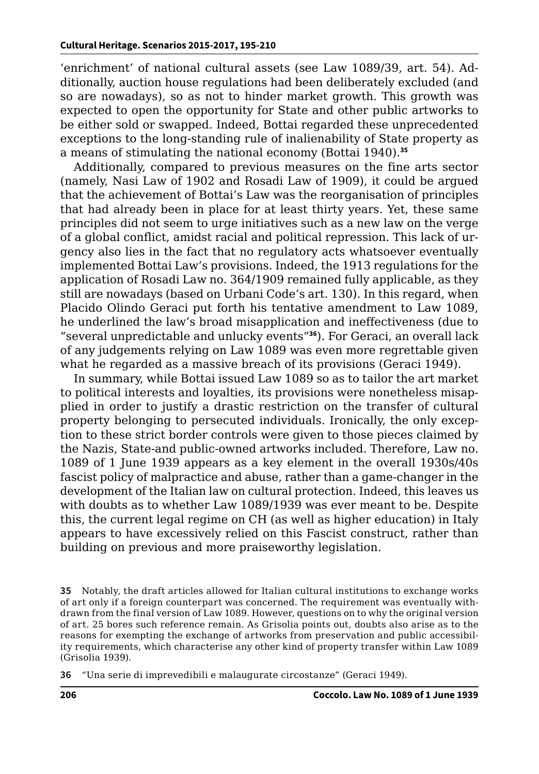'enrichment' of national cultural assets (see Law 1089/39, art. 54). Additionally, auction house regulations had been deliberately excluded (and so are nowadays), so as not to hinder market growth. This growth was expected to open the opportunity for State and other public artworks to be either sold or swapped. Indeed, Bottai regarded these unprecedented exceptions to the long-standing rule of inalienability of State property as a means of stimulating the national economy (Bottai 1940).**<sup>35</sup>**

Additionally, compared to previous measures on the fine arts sector (namely, Nasi Law of 1902 and Rosadi Law of 1909), it could be argued that the achievement of Bottai's Law was the reorganisation of principles that had already been in place for at least thirty years. Yet, these same principles did not seem to urge initiatives such as a new law on the verge of a global conflict, amidst racial and political repression. This lack of urgency also lies in the fact that no regulatory acts whatsoever eventually implemented Bottai Law's provisions. Indeed, the 1913 regulations for the application of Rosadi Law no. 364/1909 remained fully applicable, as they still are nowadays (based on Urbani Code's art. 130). In this regard, when Placido Olindo Geraci put forth his tentative amendment to Law 1089, he underlined the law's broad misapplication and ineffectiveness (due to "several unpredictable and unlucky events"**<sup>36</sup>**). For Geraci, an overall lack of any judgements relying on Law 1089 was even more regrettable given what he regarded as a massive breach of its provisions (Geraci 1949).

In summary, while Bottai issued Law 1089 so as to tailor the art market to political interests and loyalties, its provisions were nonetheless misapplied in order to justify a drastic restriction on the transfer of cultural property belonging to persecuted individuals. Ironically, the only exception to these strict border controls were given to those pieces claimed by the Nazis, State-and public-owned artworks included. Therefore, Law no. 1089 of 1 June 1939 appears as a key element in the overall 1930s/40s fascist policy of malpractice and abuse, rather than a game-changer in the development of the Italian law on cultural protection. Indeed, this leaves us with doubts as to whether Law 1089/1939 was ever meant to be. Despite this, the current legal regime on CH (as well as higher education) in Italy appears to have excessively relied on this Fascist construct, rather than building on previous and more praiseworthy legislation.

**35** Notably, the draft articles allowed for Italian cultural institutions to exchange works of art only if a foreign counterpart was concerned. The requirement was eventually withdrawn from the final version of Law 1089. However, questions on to why the original version of art. 25 bores such reference remain. As Grisolia points out, doubts also arise as to the reasons for exempting the exchange of artworks from preservation and public accessibility requirements, which characterise any other kind of property transfer within Law 1089 (Grisolia 1939).

**36** "Una serie di imprevedibili e malaugurate circostanze" (Geraci 1949).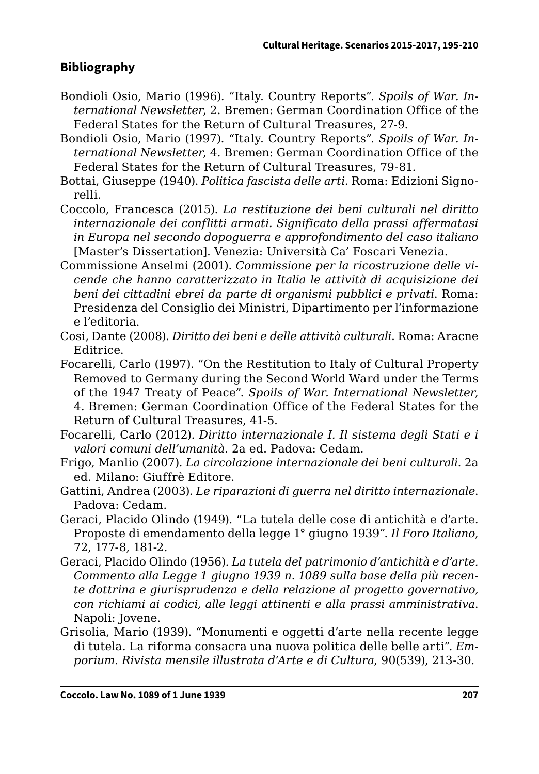#### **Bibliography**

- Bondioli Osio, Mario (1996). "Italy. Country Reports". *Spoils of War. International Newsletter*, 2. Bremen: German Coordination Office of the Federal States for the Return of Cultural Treasures, 27-9.
- Bondioli Osio, Mario (1997). "Italy. Country Reports". *Spoils of War. International Newsletter*, 4. Bremen: German Coordination Office of the Federal States for the Return of Cultural Treasures, 79-81.
- Bottai, Giuseppe (1940). *Politica fascista delle arti*. Roma: Edizioni Signorelli.
- Coccolo, Francesca (2015). *La restituzione dei beni culturali nel diritto internazionale dei conflitti armati. Significato della prassi affermatasi in Europa nel secondo dopoguerra e approfondimento del caso italiano* [Master's Dissertation]. Venezia: Università Ca' Foscari Venezia.
- Commissione Anselmi (2001). *Commissione per la ricostruzione delle vicende che hanno caratterizzato in Italia le attività di acquisizione dei beni dei cittadini ebrei da parte di organismi pubblici e privati*. Roma: Presidenza del Consiglio dei Ministri, Dipartimento per l'informazione e l'editoria.
- Cosi, Dante (2008). *Diritto dei beni e delle attività culturali*. Roma: Aracne Editrice.
- Focarelli, Carlo (1997). "On the Restitution to Italy of Cultural Property Removed to Germany during the Second World Ward under the Terms of the 1947 Treaty of Peace". *Spoils of War. International Newsletter*, 4. Bremen: German Coordination Office of the Federal States for the Return of Cultural Treasures, 41-5.
- Focarelli, Carlo (2012). *Diritto internazionale I. Il sistema degli Stati e i valori comuni dell'umanità*. 2a ed. Padova: Cedam.
- Frigo, Manlio (2007). *La circolazione internazionale dei beni culturali*. 2a ed. Milano: Giuffrè Editore.
- Gattini, Andrea (2003). *Le riparazioni di guerra nel diritto internazionale*. Padova: Cedam.
- Geraci, Placido Olindo (1949). "La tutela delle cose di antichità e d'arte. Proposte di emendamento della legge 1° giugno 1939". *Il Foro Italiano*, 72, 177-8, 181-2.
- Geraci, Placido Olindo (1956). *La tutela del patrimonio d'antichità e d'arte. Commento alla Legge 1 giugno 1939 n. 1089 sulla base della più recente dottrina e giurisprudenza e della relazione al progetto governativo, con richiami ai codici, alle leggi attinenti e alla prassi amministrativa*. Napoli: Jovene.
- Grisolia, Mario (1939). "Monumenti e oggetti d'arte nella recente legge di tutela. La riforma consacra una nuova politica delle belle arti". *Emporium. Rivista mensile illustrata d'Arte e di Cultura*, 90(539), 213-30.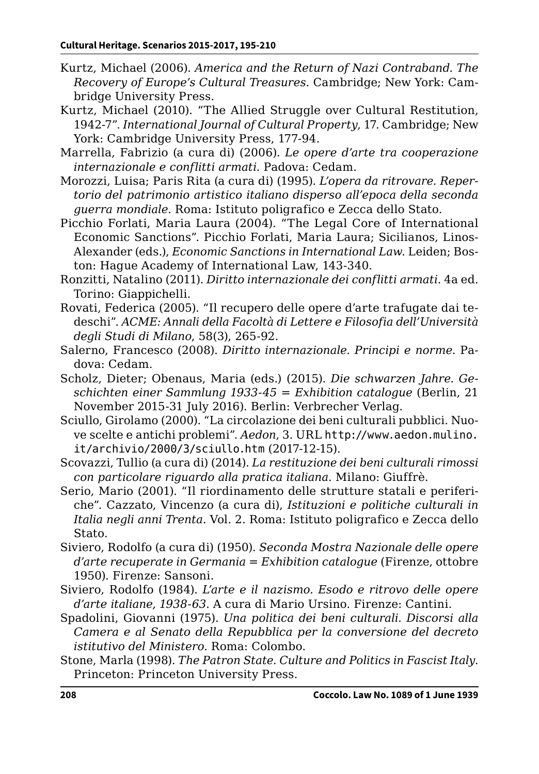- Kurtz, Michael (2006). *America and the Return of Nazi Contraband. The Recovery of Europe's Cultural Treasures*. Cambridge; New York: Cambridge University Press.
- Kurtz, Michael (2010). "The Allied Struggle over Cultural Restitution, 1942-7". *International Journal of Cultural Property*, 17. Cambridge; New York: Cambridge University Press, 177-94.
- Marrella, Fabrizio (a cura di) (2006). *Le opere d'arte tra cooperazione internazionale e conflitti armati*. Padova: Cedam.
- Morozzi, Luisa; Paris Rita (a cura di) (1995). *L'opera da ritrovare. Repertorio del patrimonio artistico italiano disperso all'epoca della seconda guerra mondiale*. Roma: Istituto poligrafico e Zecca dello Stato.
- Picchio Forlati, Maria Laura (2004). "The Legal Core of International Economic Sanctions". Picchio Forlati, Maria Laura; Sicilianos, Linos-Alexander (eds.), *Economic Sanctions in International Law*. Leiden; Boston: Hague Academy of International Law, 143-340.
- Ronzitti, Natalino (2011). *Diritto internazionale dei conflitti armati*. 4a ed. Torino: Giappichelli.
- Rovati, Federica (2005). "Il recupero delle opere d'arte trafugate dai tedeschi". *ACME: Annali della Facoltà di Lettere e Filosofia dell'Università degli Studi di Milano*, 58(3), 265-92.
- Salerno, Francesco (2008). *Diritto internazionale. Principi e norme*. Padova: Cedam.
- Scholz, Dieter; Obenaus, Maria (eds.) (2015). *Die schwarzen Jahre. Geschichten einer Sammlung 1933-45 = Exhibition catalogue* (Berlin, 21 November 2015-31 July 2016). Berlin: Verbrecher Verlag.
- Sciullo, Girolamo (2000). "La circolazione dei beni culturali pubblici. Nuove scelte e antichi problemi". *Aedon*, 3. URL [http://www.aedon.mulino.](http://www.aedon.mulino.it/archivio/2000/3/sciullo.htm) [it/archivio/2000/3/sciullo.htm](http://www.aedon.mulino.it/archivio/2000/3/sciullo.htm) (2017-12-15).
- Scovazzi, Tullio (a cura di) (2014). *La restituzione dei beni culturali rimossi con particolare riguardo alla pratica italiana*. Milano: Giuffrè.
- Serio, Mario (2001). "Il riordinamento delle strutture statali e periferiche". Cazzato, Vincenzo (a cura di), *Istituzioni e politiche culturali in Italia negli anni Trenta*. Vol. 2. Roma: Istituto poligrafico e Zecca dello Stato.
- Siviero, Rodolfo (a cura di) (1950). *Seconda Mostra Nazionale delle opere d'arte recuperate in Germania = Exhibition catalogue* (Firenze, ottobre 1950). Firenze: Sansoni.
- Siviero, Rodolfo (1984). *L'arte e il nazismo. Esodo e ritrovo delle opere d'arte italiane, 1938-63*. A cura di Mario Ursino. Firenze: Cantini.
- Spadolini, Giovanni (1975). *Una politica dei beni culturali. Discorsi alla Camera e al Senato della Repubblica per la conversione del decreto istitutivo del Ministero*. Roma: Colombo.
- Stone, Marla (1998). *The Patron State. Culture and Politics in Fascist Italy*. Princeton: Princeton University Press.